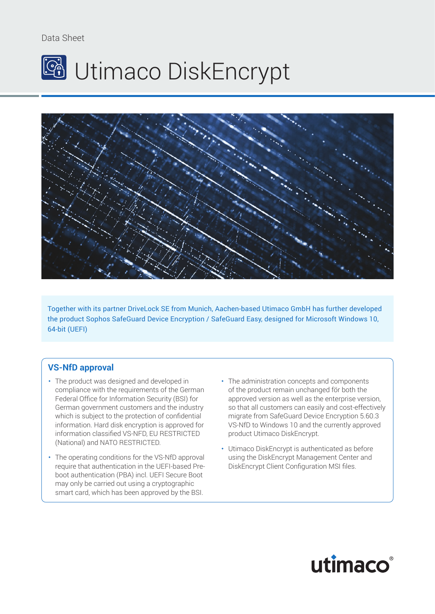# Data Sheet





Together with its partner DriveLock SE from Munich, Aachen-based Utimaco GmbH has further developed the product Sophos SafeGuard Device Encryption / SafeGuard Easy, designed for Microsoft Windows 10, 64-bit (UEFI)

# **VS-NfD approval**

- The product was designed and developed in compliance with the requirements of the German Federal Office for Information Security (BSI) for German government customers and the industry which is subject to the protection of confidential information. Hard disk encryption is approved for information classified VS-NFD, EU RESTRICTED (National) and NATO RESTRICTED.
- The operating conditions for the VS-NfD approval require that authentication in the UEFI-based Preboot authentication (PBA) incl. UEFI Secure Boot may only be carried out using a cryptographic smart card, which has been approved by the BSI.
- The administration concepts and components of the product remain unchanged för both the approved version as well as the enterprise version, so that all customers can easily and cost-effectively migrate from SafeGuard Device Encryption 5.60.3 VS-NfD to Windows 10 and the currently approved product Utimaco DiskEncrypt.
- Utimaco DiskEncrypt is authenticated as before using the DiskEncrypt Management Center and DiskEncrypt Client Configuration MSI files.